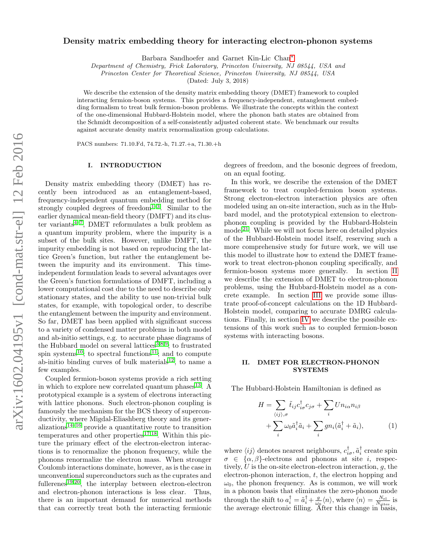# Density matrix embedding theory for interacting electron-phonon systems

Barbara Sandhoefer and Garnet Kin-Lic Chan[∗](#page-5-0)

Department of Chemistry, Frick Laboratory, Princeton University, NJ 08544, USA and

Princeton Center for Theoretical Science, Princeton University, NJ 08544, USA

(Dated: July 3, 2018)

We describe the extension of the density matrix embedding theory (DMET) framework to coupled interacting fermion-boson systems. This provides a frequency-independent, entanglement embedding formalism to treat bulk fermion-boson problems. We illustrate the concepts within the context of the one-dimensional Hubbard-Holstein model, where the phonon bath states are obtained from the Schmidt decomposition of a self-consistently adjusted coherent state. We benchmark our results against accurate density matrix renormalization group calculations.

PACS numbers: 71.10.Fd, 74.72.-h, 71.27.+a, 71.30.+h

#### I. INTRODUCTION

Density matrix embedding theory (DMET) has recently been introduced as an entanglement-based, frequency-independent quantum embedding method for strongly coupled degrees of freedom<sup>[1](#page-5-1)[–3](#page-5-2)</sup>. Similar to the earlier dynamical mean-field theory (DMFT) and its cluster variants $4^{-7}$  $4^{-7}$  $4^{-7}$ , DMET reformulates a bulk problem as a quantum impurity problem, where the impurity is a subset of the bulk sites. However, unlike DMFT, the impurity embedding is not based on reproducing the lattice Green's function, but rather the entanglement between the impurity and its environment. This timeindependent formulation leads to several advantages over the Green's function formulations of DMFT, including a lower computational cost due to the need to describe only stationary states, and the ability to use non-trivial bulk states, for example, with topological order, to describe the entanglement between the impurity and environment. So far, DMET has been applied with significant success to a variety of condensed matter problems in both model and ab-initio settings, e.g. to accurate phase diagrams of the Hubbard model on several lattices  $\frac{3,8,9}{1}$  $\frac{3,8,9}{1}$  $\frac{3,8,9}{1}$  $\frac{3,8,9}{1}$  $\frac{3,8,9}{1}$ ; to frustrated spin systems<sup>[10](#page-5-7)</sup>; to spectral functions<sup>[11](#page-5-8)</sup>; and to compute ab-initio binding curves of bulk materials<sup>[12](#page-5-9)</sup>, to name a few examples.

Coupled fermion-boson systems provide a rich setting in which to explore new correlated quantum phases<sup>[13](#page-5-10)</sup>. A prototypical example is a system of electrons interacting with lattice phonons. Such electron-phonon coupling is famously the mechanism for the BCS theory of superconductivity, where Migdal-Eliashberg theory and its gener- $alizations<sup>14–16</sup>$  $alizations<sup>14–16</sup>$  $alizations<sup>14–16</sup>$  $alizations<sup>14–16</sup>$  provide a quantitative route to transition temperatures and other properties<sup>[17,](#page-6-2)[18](#page-6-3)</sup>. Within this picture the primary effect of the electron-electron interactions is to renormalize the phonon frequency, while the phonons renormalize the electron mass. When stronger Coulomb interactions dominate, however, as is the case in unconventional superconductors such as the cuprates and fullerenes<sup>[19,](#page-6-4)[20](#page-6-5)</sup>, the interplay between electron-electron and electron-phonon interactions is less clear. Thus, there is an important demand for numerical methods that can correctly treat both the interacting fermionic

degrees of freedom, and the bosonic degrees of freedom, on an equal footing.

In this work, we describe the extension of the DMET framework to treat coupled-fermion boson systems. Strong electron-electron interaction physics are often modeled using an on-site interaction, such as in the Hubbard model, and the prototypical extension to electronphonon coupling is provided by the Hubbard-Holstein model<sup>[21](#page-6-6)</sup>. While we will not focus here on detailed physics of the Hubbard-Holstein model itself, reserving such a more comprehensive study for future work, we will use this model to illustrate how to extend the DMET framework to treat electron-phonon coupling specifically, and fermion-boson systems more generally. In section [II](#page-0-0) we describe the extension of DMET to electron-phonon problems, using the Hubbard-Holstein model as a concrete example. In section [III](#page-3-0) we provide some illustrate proof-of-concept calculations on the 1D Hubbard-Holstein model, comparing to accurate DMRG calculations. Finally, in section [IV](#page-4-0) we describe the possible extensions of this work such as to coupled fermion-boson systems with interacting bosons.

## <span id="page-0-0"></span>II. DMET FOR ELECTRON-PHONON **SYSTEMS**

The Hubbard-Holstein Hamiltonian is defined as

$$
H = \sum_{\langle ij \rangle,\sigma} \tilde{t}_{ij} c_{i\sigma}^{\dagger} c_{j\sigma} + \sum_{i} U n_{i\alpha} n_{i\beta} + \sum_{i} \omega_0 \tilde{a}_i^{\dagger} \tilde{a}_i + \sum_{i} g n_i (\tilde{a}_i^{\dagger} + \tilde{a}_i),
$$
 (1)

where  $\langle ij \rangle$  denotes nearest neighbours,  $c_{i\sigma}^{\dagger}$ ,  $\tilde{a}_{i}^{\dagger}$  create spin  $\sigma \in {\alpha, \beta}$ -electrons and phonons at site *i*, respectively,  $U$  is the on-site electron-electron interaction,  $q$ , the electron-phonon interaction, t, the electron hopping and  $\omega_0$ , the phonon frequency. As is common, we will work in a phonon basis that eliminates the zero-phonon mode through the shift to  $a_i^{\dagger} = \tilde{a}_i^{\dagger} + \frac{g}{\omega_0} \langle n \rangle$ , where  $\langle n \rangle = \frac{N_{\text{el}}}{N_{\text{sites}}}$  is the average electronic filling. After this change in basis,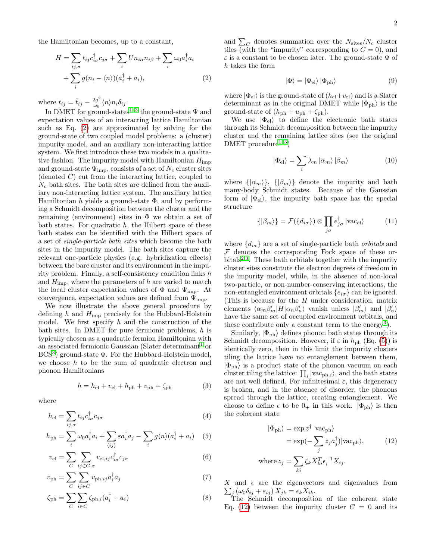$$
H = \sum_{ij,\sigma} t_{ij} c_{i\sigma}^{\dagger} c_{j\sigma} + \sum_{i} U n_{i\alpha} n_{i\beta} + \sum_{i} \omega_0 a_i^{\dagger} a_i
$$

$$
+ \sum_{i} g(n_i - \langle n \rangle)(a_i^{\dagger} + a_i), \tag{2}
$$

where  $t_{ij} = \tilde{t}_{ij} - \frac{2g^2}{\omega_0}$  $\frac{2g^-}{\omega_0}\langle n\rangle n_i\delta_{ij}.$ 

In DMET for ground-states<sup>[1–](#page-5-1)[3](#page-5-2)</sup> the ground-state  $\Psi$  and expectation values of an interacting lattice Hamiltonian such as Eq. [\(2\)](#page-1-0) are approximated by solving for the ground-state of two coupled model problems: a (cluster) impurity model, and an auxiliary non-interacting lattice system. We first introduce these two models in a qualitative fashion. The impurity model with Hamiltonian  $H_{\text{imp}}$ and ground-state  $\Psi_{\text{imp}}$ , consists of a set of  $N_c$  cluster sites (denoted C) cut from the interacting lattice, coupled to  $N_c$  bath sites. The bath sites are defined from the auxiliary non-interacting lattice system. The auxiliary lattice Hamiltonian h yields a ground-state  $\Phi$ , and by performing a Schmidt decomposition between the cluster and the remaining (environment) sites in  $\Phi$  we obtain a set of bath states. For quadratic  $h$ , the Hilbert space of these bath states can be identified with the Hilbert space of a set of single-particle bath sites which become the bath sites in the impurity model. The bath sites capture the relevant one-particle physics (e.g. hybridization effects) between the bare cluster and its environment in the impurity problem. Finally, a self-consistency condition links h and  $H_{\text{imp}}$ , where the parameters of h are varied to match the local cluster expectation values of  $\Phi$  and  $\Psi_{\text{imp}}$ . At convergence, expectation values are defined from  $\Psi_{\text{imp}}$ .

We now illustrate the above general procedure by defining h and  $H_{\text{imp}}$  precisely for the Hubbard-Holstein model. We first specify  $h$  and the construction of the bath sites. In DMET for pure fermionic problems,  $h$  is typically chosen as a quadratic fermion Hamiltonian with an associated fermionic Gaussian (Slater determinant<sup>[1](#page-5-1)</sup> or  $BCS<sup>3</sup>$  $BCS<sup>3</sup>$  $BCS<sup>3</sup>$ ) ground-state  $\Phi$ . For the Hubbard-Holstein model, we choose  $h$  to be the sum of quadratic electron and phonon Hamiltonians

$$
h = h_{\rm el} + v_{\rm el} + h_{\rm ph} + v_{\rm ph} + \zeta_{\rm ph} \tag{3}
$$

where

$$
h_{\rm el} = \sum_{ij,\sigma} t_{ij} c_{i\sigma}^{\dagger} c_{j\sigma} \tag{4}
$$

$$
h_{\rm ph} = \sum_{i} \omega_0 a_i^{\dagger} a_i + \sum_{\langle ij \rangle} \varepsilon a_i^{\dagger} a_j - \sum_{i} g \langle n \rangle (a_i^{\dagger} + a_i) \quad (5)
$$

$$
v_{\rm el} = \sum_{C} \sum_{ij \in C, \sigma} v_{\rm el,ij} c_{i\sigma}^{\dagger} c_{j\sigma}
$$
 (6)

$$
v_{\rm ph} = \sum_{C} \sum_{ij \in C} v_{\rm ph, ij} a_i^{\dagger} a_j \tag{7}
$$

$$
\zeta_{\rm ph} = \sum_{C} \sum_{i \in C} \zeta_{\rm ph, i} (a_i^{\dagger} + a_i)
$$
 (8)

and  $\sum_{C}$  denotes summation over the  $N_{\text{sites}}/N_c$  cluster tiles (with the "impurity" corresponding to  $C = 0$ ), and  $\varepsilon$  is a constant to be chosen later. The ground-state  $\Phi$  of h takes the form

<span id="page-1-4"></span>
$$
|\Phi\rangle = |\Phi_{\rm el}\rangle \, |\Phi_{\rm ph}\rangle \tag{9}
$$

<span id="page-1-0"></span>where  $|\Phi_{\text{el}}\rangle$  is the ground-state of  $(h_{\text{el}}+v_{\text{el}})$  and is a Slater determinant as in the original DMET while  $|\Phi_{\rm ph}\rangle$  is the ground-state of  $(h_{\rm ph} + u_{\rm ph} + \zeta_{\rm ph}).$ 

We use  $|\Phi_{\rm el}\rangle$  to define the electronic bath states through its Schmidt decomposition between the impurity cluster and the remaining lattice sites (see the original DMET procedure<sup>1-[3](#page-5-2)</sup>)

$$
|\Phi_{\rm el}\rangle = \sum_i \lambda_m \left| \alpha_m \right\rangle \left| \beta_m \right\rangle \tag{10}
$$

where  $\{|\alpha_m\rangle\}$ ,  $\{|\beta_m\rangle\}$  denote the impurity and bath many-body Schmidt states. Because of the Gaussian form of  $|\Phi_{\rm el}\rangle$ , the impurity bath space has the special structure

$$
\{|\beta_m\rangle\} = \mathcal{F}(\{d_{i\sigma}\}) \otimes \prod_{j\sigma} e_{j\sigma}^{\dagger} |\text{vac}_{\text{el}}\rangle \tag{11}
$$

where  $\{d_{i\sigma}\}$  are a set of single-particle bath  $\it orbitals$  and  $F$  denotes the corresponding Fock space of these or-bitals<sup>[2,](#page-5-11)[3](#page-5-2)</sup>. These bath orbitals together with the impurity cluster sites constitute the electron degrees of freedom in the impurity model, while, in the absence of non-local two-particle, or non-number-conserving interactions, the non-entangled environment orbitals  $\{e_{i\sigma}\}\$ can be ignored. (This is because for the  $H$  under consideration, matrix elements  $\langle \alpha_m \beta'_m | H | \alpha_n \beta'_n \rangle$  vanish unless  $|\beta'_m\rangle$  and  $|\beta'_n\rangle$ have the same set of occupied environment orbitals, and these contribute only a constant term to the energy<sup>[3](#page-5-2)</sup>).

<span id="page-1-3"></span>Similarly,  $|\Phi_{\text{ph}}\rangle$  defines phonon bath states through its Schmidt decomposition. However, if  $\varepsilon$  in  $h_{\text{ph}}$  (Eq. [\(5\)](#page-1-1)) is identically zero, then in this limit the impurity clusters tiling the lattice have no entanglement between them,  $|\Phi_{\rm ph}\rangle$  is a product state of the phonon vacuum on each cluster tiling the lattice:  $\prod_i |vac_{ph,i}\rangle$ , and the bath states are not well defined. For infinitesimal  $\varepsilon$ , this degeneracy is broken, and in the absence of disorder, the phonons spread through the lattice, creating entanglement. We choose to define  $\epsilon$  to be  $0_+$  in this work.  $|\Phi_{\rm ph}\rangle$  is then the coherent state

<span id="page-1-2"></span>
$$
|\Phi_{\rm ph}\rangle = \exp z^{\dagger} |\text{vac}_{\rm ph}\rangle
$$
  
=  $\exp(-\sum_{j} z_j a_j^{\dagger}) |\text{vac}_{\rm ph}\rangle,$  (12)  
where  $z_j = \sum_{ki} \zeta_k X_{ki}^T \epsilon_i^{-1} X_{ij}.$ 

<span id="page-1-1"></span>X and  $\epsilon$  are the eigenvectors and eigenvalues from  $\sum_j (\omega_0 \delta_{ij} + \varepsilon_{ij}) X_{jk} = \epsilon_k X_{ik}.$ 

The Schmidt decomposition of the coherent state Eq. [\(12\)](#page-1-2) between the impurity cluster  $C = 0$  and its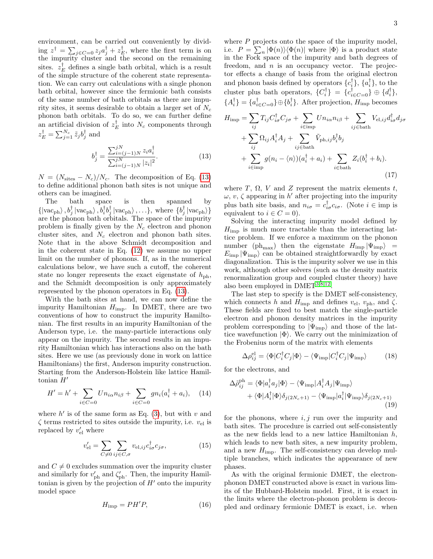environment, can be carried out conveniently by divid- $\lim_{t \to 0} z^{\dagger} = \sum_{j \in C=0} z_j a_j^{\dagger} + z_{E_j}^{\dagger}$ , where the first term is on the impurity cluster and the second on the remaining sites.  $z_E^{\dagger}$  defines a single bath orbital, which is a result of the simple structure of the coherent state representation. We can carry out calculations with a single phonon bath orbital, however since the fermionic bath consists of the same number of bath orbitals as there are impurity sites, it seems desirable to obtain a larger set of  $N_c$ phonon bath orbitals. To do so, we can further define an artificial division of  $z_E^{\dagger}$  into  $N_c$  components through  $z_E^{\dagger} = \sum_{j=1}^{N_c} \tilde{z}_j b_j^{\dagger}$  and

$$
b_j^{\dagger} = \frac{\sum_{i=(j-1)N}^{jN} z_i a_i^{\dagger}}{\sum_{i=(j-1)N}^{jN} |z_i|^2}.
$$
 (13)

 $N = (N_{\text{sites}} - N_c)/N_c$ . The decomposition of Eq. [\(13\)](#page-2-0) to define additional phonon bath sites is not unique and others can be imagined.

The bath space is then spanned by  $\{|vac_{ph}\rangle, b_j^{\dagger}|vac_{ph}\rangle, b_i^{\dagger}b_j^{\dagger}|vac_{ph}\rangle,...\},$  where  $\{b_j^{\dagger}|vac_{ph}\rangle\}$ are the phonon bath orbitals. The space of the impurity problem is finally given by the  $N_c$  electron and phonon cluster sites, and  $N_c$  electron and phonon bath sites. Note that in the above Schmidt decomposition and in the coherent state in Eq. [\(12\)](#page-1-2) we assume no upper limit on the number of phonons. If, as in the numerical calculations below, we have such a cutoff, the coherent state no longer represents the exact eigenstate of  $h_{\rm ph}$ , and the Schmidt decomposition is only approximately represented by the phonon operators in Eq. [\(13\)](#page-2-0).

With the bath sites at hand, we can now define the impurity Hamiltonian  $H_{\text{imp}}$ . In DMET, there are two conventions of how to construct the impurity Hamiltonian. The first results in an impurity Hamiltonian of the Anderson type, i.e. the many-particle interactions only appear on the impurity. The second results in an impurity Hamiltonian which has interactions also on the bath sites. Here we use (as previously done in work on lattice Hamiltonians) the first, Anderson impurity construction. Starting from the Anderson-Holstein like lattice Hamiltonian  $H'$ 

$$
H' = h' + \sum_{i \in C=0} U n_{i\alpha} n_{i\beta} + \sum_{i \in C=0} g n_i (a_i^{\dagger} + a_i), \quad (14)
$$

where  $h'$  is of the same form as Eq. [\(3\)](#page-1-3), but with v and  $\zeta$  terms restricted to sites outside the impurity, i.e.  $v_{el}$  is replaced by  $v'_{\text{el}}$  where

$$
v'_{\rm el} = \sum_{C \neq 0} \sum_{ij \in C, \sigma} v_{\rm el,ij} c^{\dagger}_{i\sigma} c_{j\sigma}, \tag{15}
$$

and  $C \neq 0$  excludes summation over the impurity cluster and similarly for  $v'_{\text{ph}}$  and  $\zeta'_{\text{ph}}$ . Then, the impurity Hamiltonian is given by the projection of  $H'$  onto the impurity model space

$$
H_{\rm imp} = P H' P,\t\t(16)
$$

where  $P$  projects onto the space of the impurity model, i.e.  $P = \sum_n |\Phi(n)\rangle \langle \Phi(n)|$  where  $|\Phi\rangle$  is a product state in the Fock space of the impurity and bath degrees of freedom, and  $n$  is an occupancy vector. The projector effects a change of basis from the original electron and phonon basis defined by operators  $\{c_i^{\dagger}\}, \{a_i^{\dagger}\},$  to the cluster plus bath operators,  $\{C_i^{\dagger}\} = \{c_{i \in C=0}^{\dagger}\} \oplus \{d_i^{\dagger}\},\$  ${A_i^{\dagger}} = {a_{i \in C=0}^{\dagger}} \oplus {b_i^{\dagger}}$ . After projection,  $H_{\text{imp}}$  becomes

<span id="page-2-0"></span>
$$
H_{\text{imp}} = \sum_{ij} T_{ij} C_{i\sigma}^{\dagger} C_{j\sigma} + \sum_{i \in \text{imp}} U n_{i\alpha} n_{i\beta} + \sum_{ij \in \text{bath}} V_{\text{el},ij} d_{i\sigma}^{\dagger} d_{j\sigma}
$$
  
+ 
$$
\sum_{ij} \Omega_{ij} A_i^{\dagger} A_j + \sum_{ij \in \text{bath}} \tilde{V}_{\text{ph},ij} b_i^{\dagger} b_j
$$
  
+ 
$$
\sum_{i \in \text{imp}} g(n_i - \langle n \rangle)(a_i^{\dagger} + a_i) + \sum_{i \in \text{bath}} Z_i(b_i^{\dagger} + b_i).
$$
(17)

where T,  $\Omega$ , V and Z represent the matrix elements t,  $\omega, v, \zeta$  appearing in h' after projecting into the impurity plus bath site basis, and  $n_{i\sigma} = c_{i\sigma}^{\dagger} c_{i\sigma}$ . (Note  $i \in \text{imp}$  is equivalent to  $i \in C = 0$ ).

Solving the interacting impurity model defined by  $H_{\text{imp}}$  is much more tractable than the interacting lattice problem. If we enforce a maximum on the phonon number (ph<sub>max</sub>) then the eigenstate  $H_{\text{imp}} |\Psi_{\text{imp}}\rangle$  =  $E_{\text{imp}} |\Psi_{\text{imp}}\rangle$  can be obtained straightforwardly by exact diagonalization. This is the impurity solver we use in this work, although other solvers (such as the density matrix renormalization group and coupled cluster theory) have also been employed in  $DMET^{3,8,12}$  $DMET^{3,8,12}$  $DMET^{3,8,12}$  $DMET^{3,8,12}$  $DMET^{3,8,12}$ .

The last step to specify is the DMET self-consistency, which connects h and  $H_{\text{imp}}$  and defines  $v_{el}$ ,  $v_{ph}$ , and  $\zeta$ . These fields are fixed to best match the single-particle electron and phonon density matrices in the impurity problem corresponding to  $|\Psi_{\text{imp}}\rangle$  and those of the lattice wavefunction  $|\Phi\rangle$ . We carry out the minimization of the Frobenius norm of the matrix with elements

$$
\Delta \rho_{ij}^{\text{el}} = \langle \Phi | C_i^{\dagger} C_j | \Phi \rangle - \langle \Psi_{\text{imp}} | C_i^{\dagger} C_j | \Psi_{\text{imp}} \rangle \tag{18}
$$

for the electrons, and

$$
\Delta \tilde{\rho}_{ij}^{\text{ph}} = \langle \Phi | a_i^{\dagger} a_j | \Phi \rangle - \langle \Psi_{\text{imp}} | A_i^{\dagger} A_j | \Psi_{\text{imp}} \rangle \n+ \langle \Phi | A_i^{\dagger} | \Phi \rangle \delta_{j(2N_c+1)} - \langle \Psi_{\text{imp}} | a_i^{\dagger} | \Psi_{\text{imp}} \rangle \delta_{j(2N_c+1)} \tag{19}
$$

for the phonons, where  $i, j$  run over the impurity and bath sites. The procedure is carried out self-consistently as the new fields lead to a new lattice Hamiltonian  $h$ , which leads to new bath sites, a new impurity problem, and a new  $H_{\text{imp}}$ . The self-consistency can develop multiple branches, which indicates the appearance of new phases.

As with the original fermionic DMET, the electronphonon DMET constructed above is exact in various limits of the Hubbard-Holstein model. First, it is exact in the limits where the electron-phonon problem is decoupled and ordinary fermionic DMET is exact, i.e. when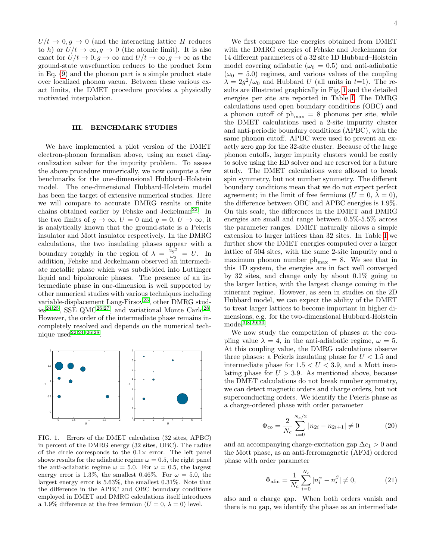$U/t \rightarrow 0, g \rightarrow 0$  (and the interacting lattice H reduces to h) or  $U/t \to \infty, g \to 0$  (the atomic limit). It is also exact for  $U/t \to 0, g \to \infty$  and  $U/t \to \infty, g \to \infty$  as the ground-state wavefunction reduces to the product form in Eq. [\(9\)](#page-1-4) and the phonon part is a simple product state over localized phonon vacua. Between these various exact limits, the DMET procedure provides a physically motivated interpolation.

#### <span id="page-3-0"></span>III. BENCHMARK STUDIES

We have implemented a pilot version of the DMET electron-phonon formalism above, using an exact diagonalization solver for the impurity problem. To assess the above procedure numerically, we now compute a few benchmarks for the one-dimensional Hubbard–Holstein model. The one-dimensional Hubbard-Holstein model has been the target of extensive numerical studies. Here we will compare to accurate DMRG results on finite chains obtained earlier by Fehske and Jeckelman<sup>[22](#page-6-7)</sup>. In the two limits of  $g \to \infty$ ,  $U = 0$  and  $g = 0$ ,  $U \to \infty$ , it is analytically known that the ground-state is a Peierls insulator and Mott insulator respectively. In the DMRG calculations, the two insulating phases appear with a boundary roughly in the region of  $\lambda = \frac{2g^2}{\omega_0}$  $\frac{2g}{\omega_0} = U$ . In addition, Fehske and Jeckelmann observed an intermediate metallic phase which was subdivided into Luttinger liquid and bipolaronic phases. The presence of an intermediate phase in one-dimension is well supported by other numerical studies with various techniques including variable-displacement Lang-Firsov<sup>[23](#page-6-8)</sup>, other DMRG stud-ies<sup>[24](#page-6-9)[,25](#page-6-10)</sup>, SSE QMC<sup>[26,](#page-6-11)[27](#page-6-12)</sup>, and variational Monte Carlo<sup>[28](#page-6-13)</sup>. However, the order of the intermediate phase remains incompletely resolved and depends on the numerical tech-nique used<sup>[22](#page-6-7)[,24](#page-6-9)-26,[28](#page-6-13)</sup>.



<span id="page-3-1"></span>energy error is 1.3%, the smallest 0.46%. For  $\omega = 5.0$ , the FIG. 1. Errors of the DMET calculation (32 sites, APBC) in percent of the DMRG energy (32 sites, OBC). The radius of the circle corresponds to the  $0.1\times$  error. The left panel shows results for the adiabatic regime  $\omega = 0.5$ , the right panel the anti-adiabatic regime  $\omega = 5.0$ . For  $\omega = 0.5$ , the largest largest energy error is 5.63%, the smallest 0.31%. Note that the difference in the APBC and OBC boundary conditions employed in DMET and DMRG calculations itself introduces a 1.9% difference at the free fermion  $(U = 0, \lambda = 0)$  level.

We first compare the energies obtained from DMET with the DMRG energies of Fehske and Jeckelmann for 14 different parameters of a 32 site 1D Hubbard–Holstein model covering adiabatic ( $\omega_0 = 0.5$ ) and anti-adiabatic  $(\omega_0 = 5.0)$  regimes, and various values of the coupling  $\lambda = 2g^2/\omega_0$  and Hubbard U (all units in t=1). The results are illustrated graphically in Fig. [1](#page-3-1) and the detailed energies per site are reported in Table [I.](#page-4-1) The DMRG calculations used open boundary conditions (OBC) and a phonon cutoff of  $ph_{max} = 8$  phonons per site, while the DMET calculations used a 2-site impurity cluster and anti-periodic boundary conditions (APBC), with the same phonon cutoff. APBC were used to prevent an exactly zero gap for the 32-site cluster. Because of the large phonon cutoffs, larger impurity clusters would be costly to solve using the ED solver and are reserved for a future study. The DMET calculations were allowed to break spin symmetry, but not number symmetry. The different boundary conditions mean that we do not expect perfect agreement; in the limit of free fermions  $(U = 0, \lambda = 0)$ , the difference between OBC and APBC energies is 1.9%. On this scale, the differences in the DMET and DMRG energies are small and range between 0.5%-5.5% across the parameter ranges. DMET naturally allows a simple extension to larger lattices than 32 sites. In Table [I](#page-4-1) we further show the DMET energies computed over a larger lattice of 504 sites, with the same 2-site impurity and a maximum phonon number  $ph_{\text{max}} = 8$ . We see that in this 1D system, the energies are in fact well converged by 32 sites, and change only by about 0.1% going to the larger lattice, with the largest change coming in the itinerant regime. However, as seen in studies on the 2D Hubbard model, we can expect the ability of the DMET to treat larger lattices to become important in higher dimensions, e.g. for the two-dimensional Hubbard-Holstein model<sup>[3,](#page-5-2)[8](#page-5-5)[,29,](#page-6-14)[30](#page-6-15)</sup>.

We now study the competition of phases at the coupling value  $\lambda = 4$ , in the anti-adiabatic regime,  $\omega = 5$ . At this coupling value, the DMRG calculations observe three phases: a Peierls insulating phase for  $U < 1.5$  and intermediate phase for  $1.5 < U < 3.9$ , and a Mott insulating phase for  $U > 3.9$ . As mentioned above, because the DMET calculations do not break number symmetry, we can detect magnetic orders and charge orders, but not superconducting orders. We identify the Peierls phase as a charge-ordered phase with order parameter

$$
\Phi_{\rm co} = \frac{2}{N_c} \sum_{i=0}^{N_c/2} |n_{2i} - n_{2i+1}| \neq 0
$$
 (20)

and an accompanying charge-excitation gap  $\Delta c_1 > 0$  and the Mott phase, as an anti-ferromagnetic (AFM) ordered phase with order parameter

$$
\Phi_{\text{afm}} = \frac{1}{N_c} \sum_{i=0}^{N_c} |n_i^{\alpha} - n_i^{\beta}| \neq 0,
$$
\n(21)

also and a charge gap. When both orders vanish and there is no gap, we identify the phase as an intermediate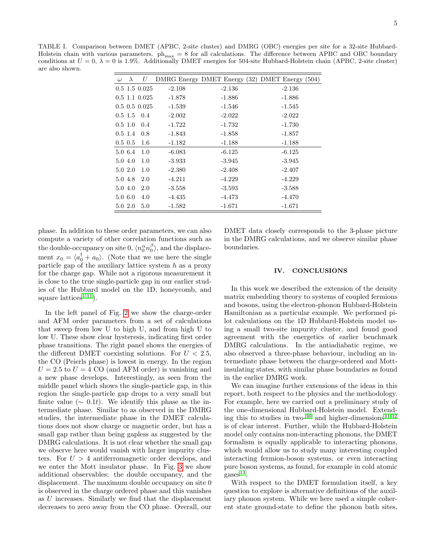<span id="page-4-1"></span>TABLE I. Comparison between DMET (APBC, 2-site cluster) and DMRG (OBC) energies per site for a 32-site Hubbard-Holstein chain with various parameters.  $ph_{max} = 8$  for all calculations. The difference between APBC and OBC boundary conditions at  $U = 0$ ,  $\lambda = 0$  is 1.9%. Additionally DMET energies for 504-site Hubbard-Holstein chain (APBC, 2-site cluster) are also shown.

| $\omega$ | $\lambda$    | U                 |          |          | DMRG Energy DMET Energy (32) DMET Energy (504) |
|----------|--------------|-------------------|----------|----------|------------------------------------------------|
|          |              | $0.5$ 1.5 $0.025$ | $-2.108$ | $-2.136$ | $-2.136$                                       |
|          |              | $0.5$ 1.1 $0.025$ | $-1.878$ | $-1.886$ | $-1.886$                                       |
|          |              | $0.5\,0.5\,0.025$ | $-1.539$ | $-1.546$ | $-1.545$                                       |
|          |              | $0.5$ 1.5 $0.4$   | $-2.002$ | $-2.022$ | $-2.022$                                       |
|          | $0.5 \; 1.0$ | 0.4               | $-1.722$ | $-1.732$ | $-1.730$                                       |
|          | $0.5 \; 1.4$ | 0.8               | $-1.843$ | $-1.858$ | $-1.857$                                       |
|          | $0.5 \; 0.5$ | 1.6               | $-1.182$ | $-1.188$ | $-1.188$                                       |
|          | 5.0 6.4      | 1.0               | $-6.083$ | $-6.125$ | $-6.125$                                       |
|          | 5.0 4.0      | 1.0               | $-3.933$ | $-3.945$ | $-3.945$                                       |
|          | 5.0 2.0      | 1.0               | $-2.380$ | $-2.408$ | $-2.407$                                       |
|          | 5.0 4.8      | 2.0               | $-4.211$ | $-4.229$ | $-4.229$                                       |
|          | 5.0 4.0      | 2.0               | $-3.558$ | $-3.593$ | $-3.588$                                       |
|          | 5.0 6.0      | 4.0               | $-4.435$ | $-4.473$ | $-4.470$                                       |
|          | 5.0 2.0      | 5.0               | $-1.582$ | $-1.671$ | $-1.671$                                       |

phase. In addition to these order parameters, we can also compute a variety of other correlation functions such as the double-occupancy on site 0,  $\langle n_0^{\alpha} n_0^{\beta} \rangle$ , and the displacement  $x_0 = \langle a_0^{\dagger} + a_0 \rangle$ . (Note that we use here the single particle gap of the auxiliary lattice system  $h$  as a proxy for the charge gap. While not a rigorous measurement it is close to the true single-particle gap in our earlier studies of the Hubbard model on the 1D, honeycomb, and square lattices<sup>[1,](#page-5-1)[11](#page-5-8)</sup>).

In the left panel of Fig. [2](#page-5-12) we show the charge-order and AFM order parameters from a set of calculations that sweep from low U to high U, and from high U to low U. These show clear hysteresis, indicating first order phase transitions. The right panel shows the energies of the different DMET coexisting solutions. For  $U < 2.5$ , the CO (Peierls phase) is lowest in energy. In the region  $U = 2.5$  to  $U = 4$  CO (and AFM order) is vanishing and a new phase develops. Interestingly, as seen from the middle panel which shows the single-particle gap, in this region the single-particle gap drops to a very small but finite value ( $\sim 0.1t$ ). We identify this phase as the intermediate phase. Similar to as observed in the DMRG studies, the intermediate phase in the DMET calculations does not show charge or magnetic order, but has a small gap rather than being gapless as suggested by the DMRG calculations. It is not clear whether the small gap we observe here would vanish with larger impurity clusters. For  $U > 4$  antiferromagnetic order develops, and we enter the Mott insulator phase. In Fig. [3](#page-5-13) we show additional observables: the double occupancy, and the displacement. The maximum double occupancy on site 0 is observed in the charge ordered phase and this vanishes as U increases. Similarly we find that the displacement decreases to zero away from the CO phase. Overall, our

DMET data closely corresponds to the 3-phase picture in the DMRG calculations, and we observe similar phase boundaries.

### <span id="page-4-0"></span>IV. CONCLUSIONS

In this work we described the extension of the density matrix embedding theory to systems of coupled fermions and bosons, using the electron-phonon Hubbard-Holstein Hamiltonian as a particular example. We performed pilot calculations on the 1D Hubbard-Holstein model using a small two-site impurity cluster, and found good agreement with the energetics of earlier benchmark DMRG calculations. In the antiadiabatic regime, we also observed a three-phase behaviour, including an intermediate phase between the charge-ordered and Mottinsulating states, with similar phase boundaries as found in the earlier DMRG work.

We can imagine further extensions of the ideas in this report, both respect to the physics and the methodology. For example, here we carried out a preliminary study of the one-dimensional Hubbard-Holstein model. Extending this to studies in two- $30$  and higher-dimensions  $31,32$  $31,32$ is of clear interest. Further, while the Hubbard-Holstein model only contains non-interacting phonons, the DMET formalism is equally applicable to interacting phonons, which would allow us to study many interesting coupled interacting fermion-boson systems, or even interacting pure boson systems, as found, for example in cold atomic  $_{\rm gases}^{13}$  $_{\rm gases}^{13}$  $_{\rm gases}^{13}$ .

With respect to the DMET formulation itself, a key question to explore is alternative definitions of the auxiliary phonon system. While we here used a simple coherent state ground-state to define the phonon bath sites,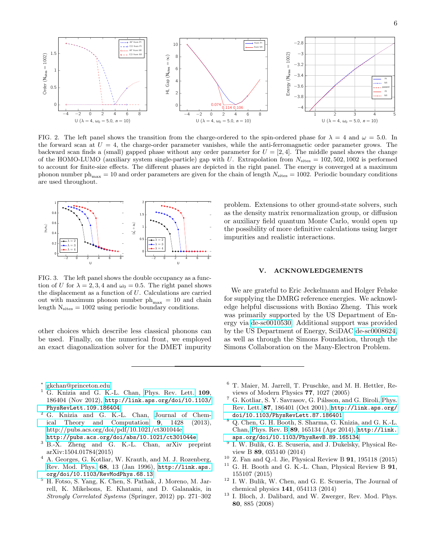

<span id="page-5-12"></span>FIG. 2. The left panel shows the transition from the charge-ordered to the spin-ordered phase for  $\lambda = 4$  and  $\omega = 5.0$ . In the forward scan at  $U = 4$ , the charge-order parameter vanishes, while the anti-ferromagnetic order parameter grows. The backward scan finds a (small) gapped phase without any order parameter for  $U = [2, 4]$ . The middle panel shows the change of the HOMO-LUMO (auxiliary system single-particle) gap with U. Extrapolation from  $N_{\text{sites}} = 102,502,1002$  is performed to account for finite-size effects. The different phases are depicted in the right panel. The energy is converged at a maximum phonon number  $ph_{max} = 10$  and order parameters are given for the chain of length  $N_{sites} = 1002$ . Periodic boundary conditions are used throughout.



<span id="page-5-13"></span>FIG. 3. The left panel shows the double occupancy as a function of U for  $\lambda = 2, 3, 4$  and  $\omega_0 = 0.5$ . The right panel shows the displacement as a function of U. Calculations are carried out with maximum phonon number  $ph_{\text{max}} = 10$  and chain length  $N_{\text{sites}} = 1002$  using periodic boundary conditions.

other choices which describe less classical phonons can be used. Finally, on the numerical front, we employed an exact diagonalization solver for the DMET impurity

problem. Extensions to other ground-state solvers, such as the density matrix renormalization group, or diffusion or auxiliary field quantum Monte Carlo, would open up the possibility of more definitive calculations using larger impurities and realistic interactions.

## V. ACKNOWLEDGEMENTS

We are grateful to Eric Jeckelmann and Holger Fehske for supplying the DMRG reference energies. We acknowledge helpful discussions with Boxiao Zheng. This work was primarily supported by the US Department of Energy via [de-sc0010530.](http://arxiv.org/abs/de-sc/0010530) Additional support was provided by the US Department of Energy, SciDAC [de-sc0008624,](http://arxiv.org/abs/de-sc/0008624) as well as through the Simons Foundation, through the Simons Collaboration on the Many-Electron Problem.

- <span id="page-5-0"></span>∗ [gkchan@princeton.edu](mailto:gkchan@princeton.edu)
- <span id="page-5-1"></span><sup>1</sup> G. Knizia and G. K.-L. Chan, [Phys. Rev. Lett.](http://dx.doi.org/10.1103/PhysRevLett.109.186404) 109, 186404 (Nov 2012), [http://link.aps.org/doi/10.1103/](http://link.aps.org/doi/10.1103/PhysRevLett.109.186404) [PhysRevLett.109.186404](http://link.aps.org/doi/10.1103/PhysRevLett.109.186404)
- <span id="page-5-11"></span><sup>2</sup> G. Knizia and G. K.-L. Chan, [Journal of Chem](http://dx.doi.org/10.1021/ct301044e)[ical Theory and Computation](http://dx.doi.org/10.1021/ct301044e) 9, 1428 (2013), [http://pubs.acs.org/doi/pdf/10.1021/ct301044e,](http://arxiv.org/abs/http://pubs.acs.org/doi/pdf/10.1021/ct301044e) <http://pubs.acs.org/doi/abs/10.1021/ct301044e>
- <span id="page-5-2"></span><sup>3</sup> B.-X. Zheng and G. K.-L. Chan, arXiv preprint arXiv:1504.01784(2015)
- <span id="page-5-3"></span><sup>4</sup> A. Georges, G. Kotliar, W. Krauth, and M. J. Rozenberg, [Rev. Mod. Phys.](http://dx.doi.org/10.1103/RevModPhys.68.13) 68, 13 (Jan 1996), [http://link.aps.](http://link.aps.org/doi/10.1103/RevModPhys.68.13) [org/doi/10.1103/RevModPhys.68.13](http://link.aps.org/doi/10.1103/RevModPhys.68.13)
- <sup>5</sup> H. Fotso, S. Yang, K. Chen, S. Pathak, J. Moreno, M. Jarrell, K. Mikelsons, E. Khatami, and D. Galanakis, in Strongly Correlated Systems (Springer, 2012) pp. 271–302
- <sup>6</sup> T. Maier, M. Jarrell, T. Pruschke, and M. H. Hettler, Reviews of Modern Physics 77, 1027 (2005)
- <span id="page-5-4"></span><sup>7</sup> G. Kotliar, S. Y. Savrasov, G. Pálsson, and G. Biroli, [Phys.](http://dx.doi.org/10.1103/PhysRevLett.87.186401) [Rev. Lett.](http://dx.doi.org/10.1103/PhysRevLett.87.186401) 87, 186401 (Oct 2001), [http://link.aps.org/](http://link.aps.org/doi/10.1103/PhysRevLett.87.186401) [doi/10.1103/PhysRevLett.87.186401](http://link.aps.org/doi/10.1103/PhysRevLett.87.186401)
- <span id="page-5-5"></span><sup>8</sup> Q. Chen, G. H. Booth, S. Sharma, G. Knizia, and G. K.-L. Chan, [Phys. Rev. B](http://dx.doi.org/10.1103/PhysRevB.89.165134) 89, 165134 (Apr 2014), [http://link.](http://link.aps.org/doi/10.1103/PhysRevB.89.165134) [aps.org/doi/10.1103/PhysRevB.89.165134](http://link.aps.org/doi/10.1103/PhysRevB.89.165134)
- <span id="page-5-6"></span>9 I. W. Bulik, G. E. Scuseria, and J. Dukelsky, Physical Review B 89, 035140 (2014)
- <span id="page-5-7"></span><sup>10</sup> Z. Fan and Q.-l. Jie, Physical Review B **91**, 195118 (2015)<sup>11</sup> C. H. Booth and C. K. J. Chan, Physical Boyiew B **01**
- <span id="page-5-8"></span>G. H. Booth and G. K.-L. Chan, Physical Review B 91, 155107 (2015)
- <span id="page-5-9"></span><sup>12</sup> I. W. Bulik, W. Chen, and G. E. Scuseria, The Journal of chemical physics 141, 054113 (2014)
- <span id="page-5-10"></span><sup>13</sup> I. Bloch, J. Dalibard, and W. Zwerger, Rev. Mod. Phys. 80, 885 (2008)